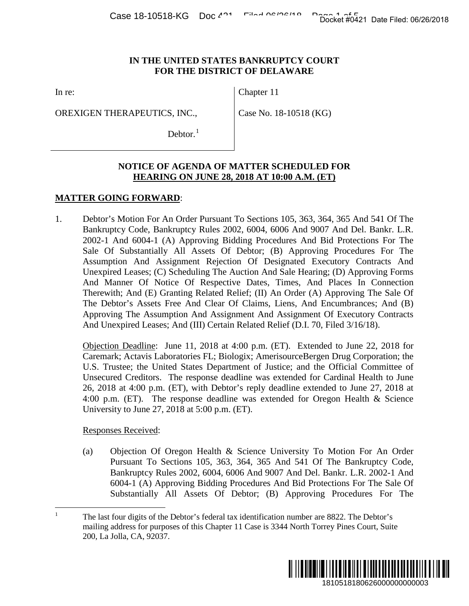## **IN THE UNITED STATES BANKRUPTCY COURT FOR THE DISTRICT OF DELAWARE**

In re:

OREXIGEN THERAPEUTICS, INC.,

Chapter 11

Case No. 18-10518 (KG)

Debtor. $<sup>1</sup>$  $<sup>1</sup>$  $<sup>1</sup>$ </sup>

# **NOTICE OF AGENDA OF MATTER SCHEDULED FOR HEARING ON JUNE 28, 2018 AT 10:00 A.M. (ET)**

# **MATTER GOING FORWARD**:

1. Debtor's Motion For An Order Pursuant To Sections 105, 363, 364, 365 And 541 Of The Bankruptcy Code, Bankruptcy Rules 2002, 6004, 6006 And 9007 And Del. Bankr. L.R. 2002-1 And 6004-1 (A) Approving Bidding Procedures And Bid Protections For The Sale Of Substantially All Assets Of Debtor; (B) Approving Procedures For The Assumption And Assignment Rejection Of Designated Executory Contracts And Unexpired Leases; (C) Scheduling The Auction And Sale Hearing; (D) Approving Forms And Manner Of Notice Of Respective Dates, Times, And Places In Connection Therewith; And (E) Granting Related Relief; (II) An Order (A) Approving The Sale Of The Debtor's Assets Free And Clear Of Claims, Liens, And Encumbrances; And (B) Approving The Assumption And Assignment And Assignment Of Executory Contracts And Unexpired Leases; And (III) Certain Related Relief (D.I. 70, Filed 3/16/18). Docket #0421 Date Filed: 06/26/2018<br>
1810 FOR<br>
1910 FOR<br>
1810 FOR<br>
1810 Procedures For The<br>
1910 Procedures For The<br>
1910 Procedures For The<br>
1920 Procedures For The<br>
1920 Procedures For The<br>
1920 Procedures For The<br>
1920

Objection Deadline: June 11, 2018 at 4:00 p.m. (ET). Extended to June 22, 2018 for Caremark; Actavis Laboratories FL; Biologix; AmerisourceBergen Drug Corporation; the U.S. Trustee; the United States Department of Justice; and the Official Committee of Unsecured Creditors. The response deadline was extended for Cardinal Health to June 26, 2018 at 4:00 p.m. (ET), with Debtor's reply deadline extended to June 27, 2018 at 4:00 p.m. (ET). The response deadline was extended for Oregon Health & Science University to June 27, 2018 at 5:00 p.m. (ET).

### Responses Received:

(a) Objection Of Oregon Health & Science University To Motion For An Order Pursuant To Sections 105, 363, 364, 365 And 541 Of The Bankruptcy Code, Bankruptcy Rules 2002, 6004, 6006 And 9007 And Del. Bankr. L.R. 2002-1 And 6004-1 (A) Approving Bidding Procedures And Bid Protections For The Sale Of Substantially All Assets Of Debtor; (B) Approving Procedures For The

<span id="page-0-0"></span><sup>&</sup>lt;sup>1</sup> The last four digits of the Debtor's federal tax identification number are 8822. The Debtor's mailing address for purposes of this Chapter 11 Case is 3344 North Torrey Pines Court, Suite 200, La Jolla, CA, 92037.

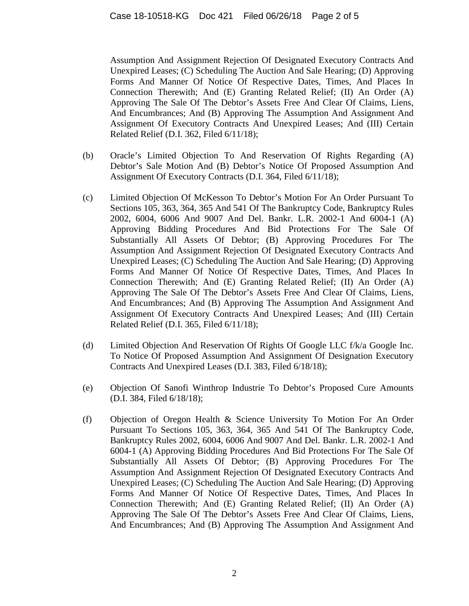Assumption And Assignment Rejection Of Designated Executory Contracts And Unexpired Leases; (C) Scheduling The Auction And Sale Hearing; (D) Approving Forms And Manner Of Notice Of Respective Dates, Times, And Places In Connection Therewith; And (E) Granting Related Relief; (II) An Order (A) Approving The Sale Of The Debtor's Assets Free And Clear Of Claims, Liens, And Encumbrances; And (B) Approving The Assumption And Assignment And Assignment Of Executory Contracts And Unexpired Leases; And (III) Certain Related Relief (D.I. 362, Filed 6/11/18);

- (b) Oracle's Limited Objection To And Reservation Of Rights Regarding (A) Debtor's Sale Motion And (B) Debtor's Notice Of Proposed Assumption And Assignment Of Executory Contracts (D.I. 364, Filed 6/11/18);
- (c) Limited Objection Of McKesson To Debtor's Motion For An Order Pursuant To Sections 105, 363, 364, 365 And 541 Of The Bankruptcy Code, Bankruptcy Rules 2002, 6004, 6006 And 9007 And Del. Bankr. L.R. 2002-1 And 6004-1 (A) Approving Bidding Procedures And Bid Protections For The Sale Of Substantially All Assets Of Debtor; (B) Approving Procedures For The Assumption And Assignment Rejection Of Designated Executory Contracts And Unexpired Leases; (C) Scheduling The Auction And Sale Hearing; (D) Approving Forms And Manner Of Notice Of Respective Dates, Times, And Places In Connection Therewith; And (E) Granting Related Relief; (II) An Order (A) Approving The Sale Of The Debtor's Assets Free And Clear Of Claims, Liens, And Encumbrances; And (B) Approving The Assumption And Assignment And Assignment Of Executory Contracts And Unexpired Leases; And (III) Certain Related Relief (D.I. 365, Filed 6/11/18);
- (d) Limited Objection And Reservation Of Rights Of Google LLC f/k/a Google Inc. To Notice Of Proposed Assumption And Assignment Of Designation Executory Contracts And Unexpired Leases (D.I. 383, Filed 6/18/18);
- (e) Objection Of Sanofi Winthrop Industrie To Debtor's Proposed Cure Amounts (D.I. 384, Filed 6/18/18);
- (f) Objection of Oregon Health & Science University To Motion For An Order Pursuant To Sections 105, 363, 364, 365 And 541 Of The Bankruptcy Code, Bankruptcy Rules 2002, 6004, 6006 And 9007 And Del. Bankr. L.R. 2002-1 And 6004-1 (A) Approving Bidding Procedures And Bid Protections For The Sale Of Substantially All Assets Of Debtor; (B) Approving Procedures For The Assumption And Assignment Rejection Of Designated Executory Contracts And Unexpired Leases; (C) Scheduling The Auction And Sale Hearing; (D) Approving Forms And Manner Of Notice Of Respective Dates, Times, And Places In Connection Therewith; And (E) Granting Related Relief; (II) An Order (A) Approving The Sale Of The Debtor's Assets Free And Clear Of Claims, Liens, And Encumbrances; And (B) Approving The Assumption And Assignment And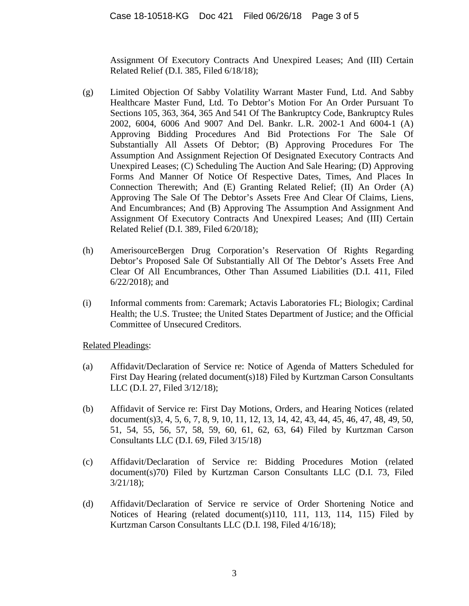Assignment Of Executory Contracts And Unexpired Leases; And (III) Certain Related Relief (D.I. 385, Filed 6/18/18);

- (g) Limited Objection Of Sabby Volatility Warrant Master Fund, Ltd. And Sabby Healthcare Master Fund, Ltd. To Debtor's Motion For An Order Pursuant To Sections 105, 363, 364, 365 And 541 Of The Bankruptcy Code, Bankruptcy Rules 2002, 6004, 6006 And 9007 And Del. Bankr. L.R. 2002-1 And 6004-1 (A) Approving Bidding Procedures And Bid Protections For The Sale Of Substantially All Assets Of Debtor; (B) Approving Procedures For The Assumption And Assignment Rejection Of Designated Executory Contracts And Unexpired Leases; (C) Scheduling The Auction And Sale Hearing; (D) Approving Forms And Manner Of Notice Of Respective Dates, Times, And Places In Connection Therewith; And (E) Granting Related Relief; (II) An Order (A) Approving The Sale Of The Debtor's Assets Free And Clear Of Claims, Liens, And Encumbrances; And (B) Approving The Assumption And Assignment And Assignment Of Executory Contracts And Unexpired Leases; And (III) Certain Related Relief (D.I. 389, Filed 6/20/18);
- (h) AmerisourceBergen Drug Corporation's Reservation Of Rights Regarding Debtor's Proposed Sale Of Substantially All Of The Debtor's Assets Free And Clear Of All Encumbrances, Other Than Assumed Liabilities (D.I. 411, Filed 6/22/2018); and
- (i) Informal comments from: Caremark; Actavis Laboratories FL; Biologix; Cardinal Health; the U.S. Trustee; the United States Department of Justice; and the Official Committee of Unsecured Creditors.

Related Pleadings:

- (a) Affidavit/Declaration of Service re: Notice of Agenda of Matters Scheduled for First Day Hearing (related document(s)18) Filed by Kurtzman Carson Consultants LLC (D.I. 27, Filed 3/12/18);
- (b) Affidavit of Service re: First Day Motions, Orders, and Hearing Notices (related document(s)3, 4, 5, 6, 7, 8, 9, 10, 11, 12, 13, 14, 42, 43, 44, 45, 46, 47, 48, 49, 50, 51, 54, 55, 56, 57, 58, 59, 60, 61, 62, 63, 64) Filed by Kurtzman Carson Consultants LLC (D.I. 69, Filed 3/15/18)
- (c) Affidavit/Declaration of Service re: Bidding Procedures Motion (related document(s)70) Filed by Kurtzman Carson Consultants LLC (D.I. 73, Filed 3/21/18);
- (d) Affidavit/Declaration of Service re service of Order Shortening Notice and Notices of Hearing (related document(s)110, 111, 113, 114, 115) Filed by Kurtzman Carson Consultants LLC (D.I. 198, Filed 4/16/18);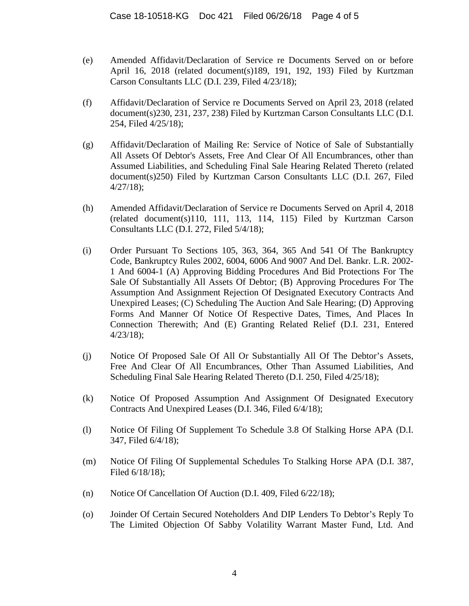- (e) Amended Affidavit/Declaration of Service re Documents Served on or before April 16, 2018 (related document(s)189, 191, 192, 193) Filed by Kurtzman Carson Consultants LLC (D.I. 239, Filed 4/23/18);
- (f) Affidavit/Declaration of Service re Documents Served on April 23, 2018 (related document(s)230, 231, 237, 238) Filed by Kurtzman Carson Consultants LLC (D.I. 254, Filed 4/25/18);
- (g) Affidavit/Declaration of Mailing Re: Service of Notice of Sale of Substantially All Assets Of Debtor's Assets, Free And Clear Of All Encumbrances, other than Assumed Liabilities, and Scheduling Final Sale Hearing Related Thereto (related document(s)250) Filed by Kurtzman Carson Consultants LLC (D.I. 267, Filed 4/27/18);
- (h) Amended Affidavit/Declaration of Service re Documents Served on April 4, 2018 (related document(s)110, 111, 113, 114, 115) Filed by Kurtzman Carson Consultants LLC (D.I. 272, Filed 5/4/18);
- (i) Order Pursuant To Sections 105, 363, 364, 365 And 541 Of The Bankruptcy Code, Bankruptcy Rules 2002, 6004, 6006 And 9007 And Del. Bankr. L.R. 2002- 1 And 6004-1 (A) Approving Bidding Procedures And Bid Protections For The Sale Of Substantially All Assets Of Debtor; (B) Approving Procedures For The Assumption And Assignment Rejection Of Designated Executory Contracts And Unexpired Leases; (C) Scheduling The Auction And Sale Hearing; (D) Approving Forms And Manner Of Notice Of Respective Dates, Times, And Places In Connection Therewith; And (E) Granting Related Relief (D.I. 231, Entered 4/23/18);
- (j) Notice Of Proposed Sale Of All Or Substantially All Of The Debtor's Assets, Free And Clear Of All Encumbrances, Other Than Assumed Liabilities, And Scheduling Final Sale Hearing Related Thereto (D.I. 250, Filed 4/25/18);
- (k) Notice Of Proposed Assumption And Assignment Of Designated Executory Contracts And Unexpired Leases (D.I. 346, Filed 6/4/18);
- (l) Notice Of Filing Of Supplement To Schedule 3.8 Of Stalking Horse APA (D.I. 347, Filed 6/4/18);
- (m) Notice Of Filing Of Supplemental Schedules To Stalking Horse APA (D.I. 387, Filed 6/18/18);
- (n) Notice Of Cancellation Of Auction (D.I. 409, Filed 6/22/18);
- (o) Joinder Of Certain Secured Noteholders And DIP Lenders To Debtor's Reply To The Limited Objection Of Sabby Volatility Warrant Master Fund, Ltd. And